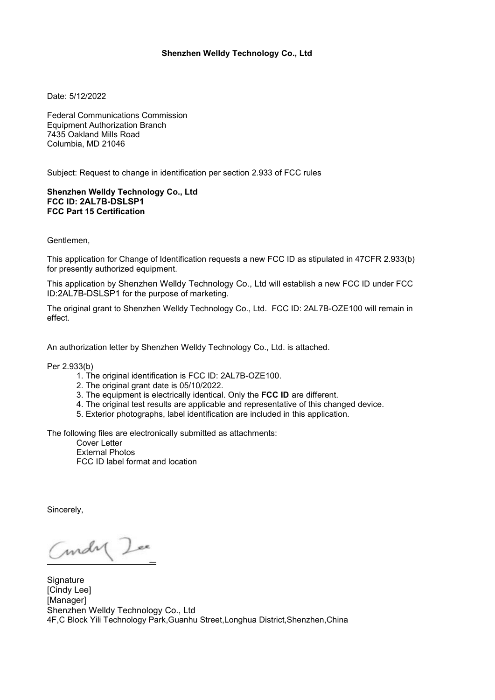## **Shenzhen Welldy Technology Co., Ltd**

Date: 5/12/2022

Federal Communications Commission Equipment Authorization Branch 7435 Oakland Mills Road Columbia, MD 21046

Subject: Request to change in identification per section 2.933 of FCC rules

## **Shenzhen Welldy Technology Co., Ltd FCC ID: 2AL7B-DSLSP1 FCC Part 15 Certification**

Gentlemen,

This application for Change of Identification requests a new FCC ID as stipulated in 47CFR 2.933(b) for presently authorized equipment.<br>This application by Shenzhen Welldy Technology Co., Ltd will establish a new FCC ID under FCC

ID:2AL7B-DSLSP1 for the purpose of marketing.

The original grant to Shenzhen Welldy Technology Co., Ltd. FCC ID: 2AL7B-OZE100 will remain in effect.

An authorization letter by Shenzhen Welldy Technology Co., Ltd. is attached.

Per 2.933(b)

- 1. The original identification is FCC ID: 2AL7B-OZE100.
- 2. The original grant date is05/10/2022.
- 3. The equipment is electrically identical.Only the **FCC ID** aredifferent.
- 4. The original test results are applicable and representative of this changed device.
- 5. Exterior photographs, label identification are included in this application.

The following files are electronically submitted as attachments:

Cover Letter External Photos FCC ID label format and location

Sincerely,

Curdy Lee

**Signature** [Cindy Lee] [Manager] Shenzhen Welldy Technology Co., Ltd 4F,C Block Yili Technology Park,Guanhu Street,Longhua District,Shenzhen,China